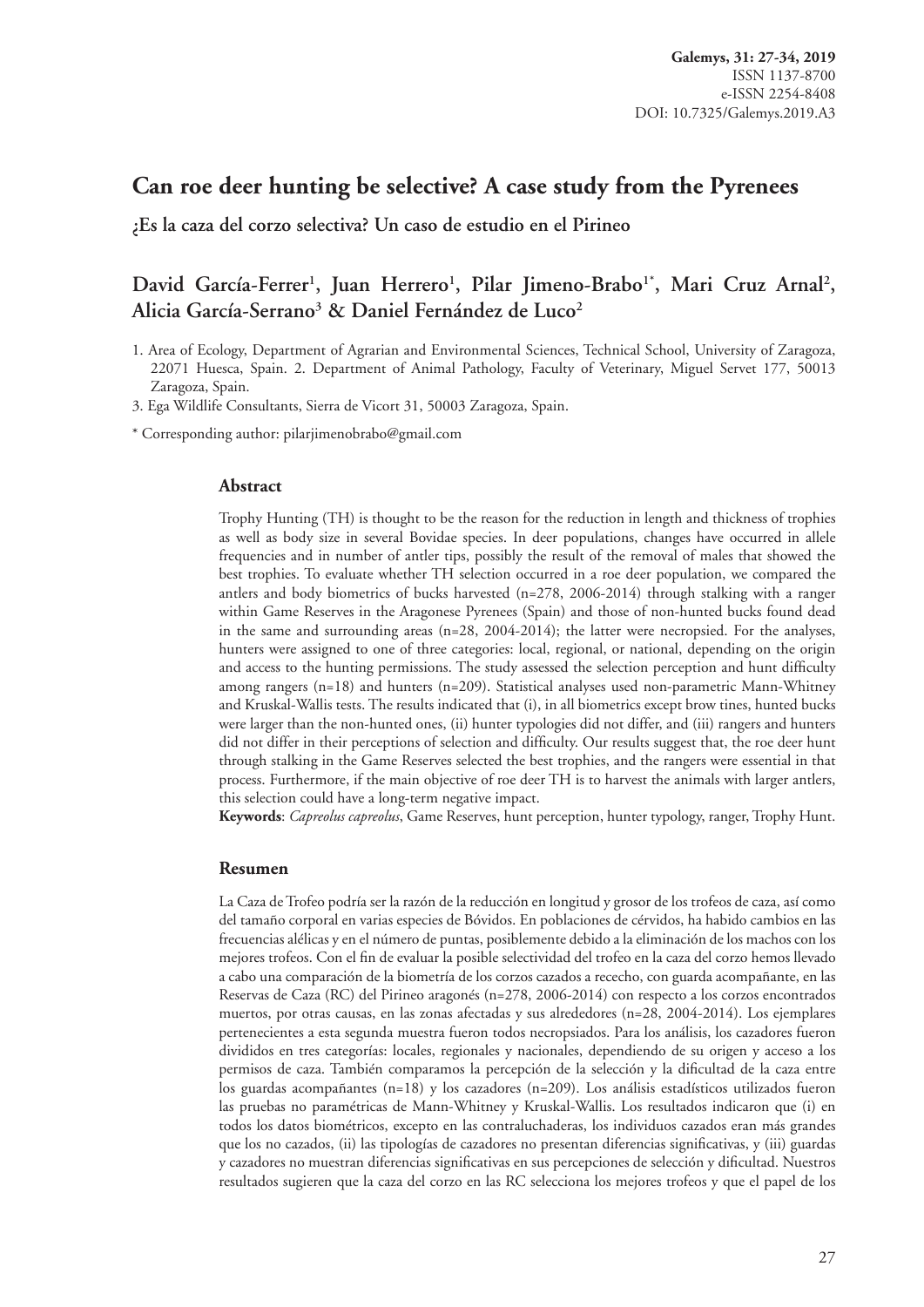# **Can roe deer hunting be selective? A case study from the Pyrenees**

**¿Es la caza del corzo selectiva? Un caso de estudio en el Pirineo**

# David García-Ferrer<sup>1</sup>, Juan Herrero<sup>1</sup>, Pilar Jimeno-Brabo<sup>1\*</sup>, Mari Cruz Arnal<sup>2</sup>, **Alicia García-Serrano3 & Daniel Fernández de Luco2**

1. Area of Ecology, Department of Agrarian and Environmental Sciences, Technical School, University of Zaragoza, 22071 Huesca, Spain. 2. Department of Animal Pathology, Faculty of Veterinary, Miguel Servet 177, 50013 Zaragoza, Spain.

3. Ega Wildlife Consultants, Sierra de Vicort 31, 50003 Zaragoza, Spain.

\* Corresponding author: [pilarjimenobrabo@gmail.com](mailto:pilarjimenobrabo@gmail.com)

#### **Abstract**

Trophy Hunting (TH) is thought to be the reason for the reduction in length and thickness of trophies as well as body size in several Bovidae species. In deer populations, changes have occurred in allele frequencies and in number of antler tips, possibly the result of the removal of males that showed the best trophies. To evaluate whether TH selection occurred in a roe deer population, we compared the antlers and body biometrics of bucks harvested (n=278, 2006-2014) through stalking with a ranger within Game Reserves in the Aragonese Pyrenees (Spain) and those of non-hunted bucks found dead in the same and surrounding areas  $(n=28, 2004-2014)$ ; the latter were necropsied. For the analyses, hunters were assigned to one of three categories: local, regional, or national, depending on the origin and access to the hunting permissions. The study assessed the selection perception and hunt difficulty among rangers (n=18) and hunters (n=209). Statistical analyses used non-parametric Mann-Whitney and Kruskal-Wallis tests. The results indicated that (i), in all biometrics except brow tines, hunted bucks were larger than the non-hunted ones, (ii) hunter typologies did not differ, and (iii) rangers and hunters did not differ in their perceptions of selection and difficulty. Our results suggest that, the roe deer hunt through stalking in the Game Reserves selected the best trophies, and the rangers were essential in that process. Furthermore, if the main objective of roe deer TH is to harvest the animals with larger antlers, this selection could have a long-term negative impact.

**Keywords**: *Capreolus capreolus*, Game Reserves, hunt perception, hunter typology, ranger, Trophy Hunt.

#### **Resumen**

La Caza de Trofeo podría ser la razón de la reducción en longitud y grosor de los trofeos de caza, así como del tamaño corporal en varias especies de Bóvidos. En poblaciones de cérvidos, ha habido cambios en las frecuencias alélicas y en el número de puntas, posiblemente debido a la eliminación de los machos con los mejores trofeos. Con el fin de evaluar la posible selectividad del trofeo en la caza del corzo hemos llevado a cabo una comparación de la biometría de los corzos cazados a rececho, con guarda acompañante, en las Reservas de Caza (RC) del Pirineo aragonés (n=278, 2006-2014) con respecto a los corzos encontrados muertos, por otras causas, en las zonas afectadas y sus alrededores (n=28, 2004-2014). Los ejemplares pertenecientes a esta segunda muestra fueron todos necropsiados. Para los análisis, los cazadores fueron divididos en tres categorías: locales, regionales y nacionales, dependiendo de su origen y acceso a los permisos de caza. También comparamos la percepción de la selección y la dificultad de la caza entre los guardas acompañantes (n=18) y los cazadores (n=209). Los análisis estadísticos utilizados fueron las pruebas no paramétricas de Mann-Whitney y Kruskal-Wallis. Los resultados indicaron que (i) en todos los datos biométricos, excepto en las contraluchaderas, los individuos cazados eran más grandes que los no cazados, (ii) las tipologías de cazadores no presentan diferencias significativas, y (iii) guardas y cazadores no muestran diferencias significativas en sus percepciones de selección y dificultad. Nuestros resultados sugieren que la caza del corzo en las RC selecciona los mejores trofeos y que el papel de los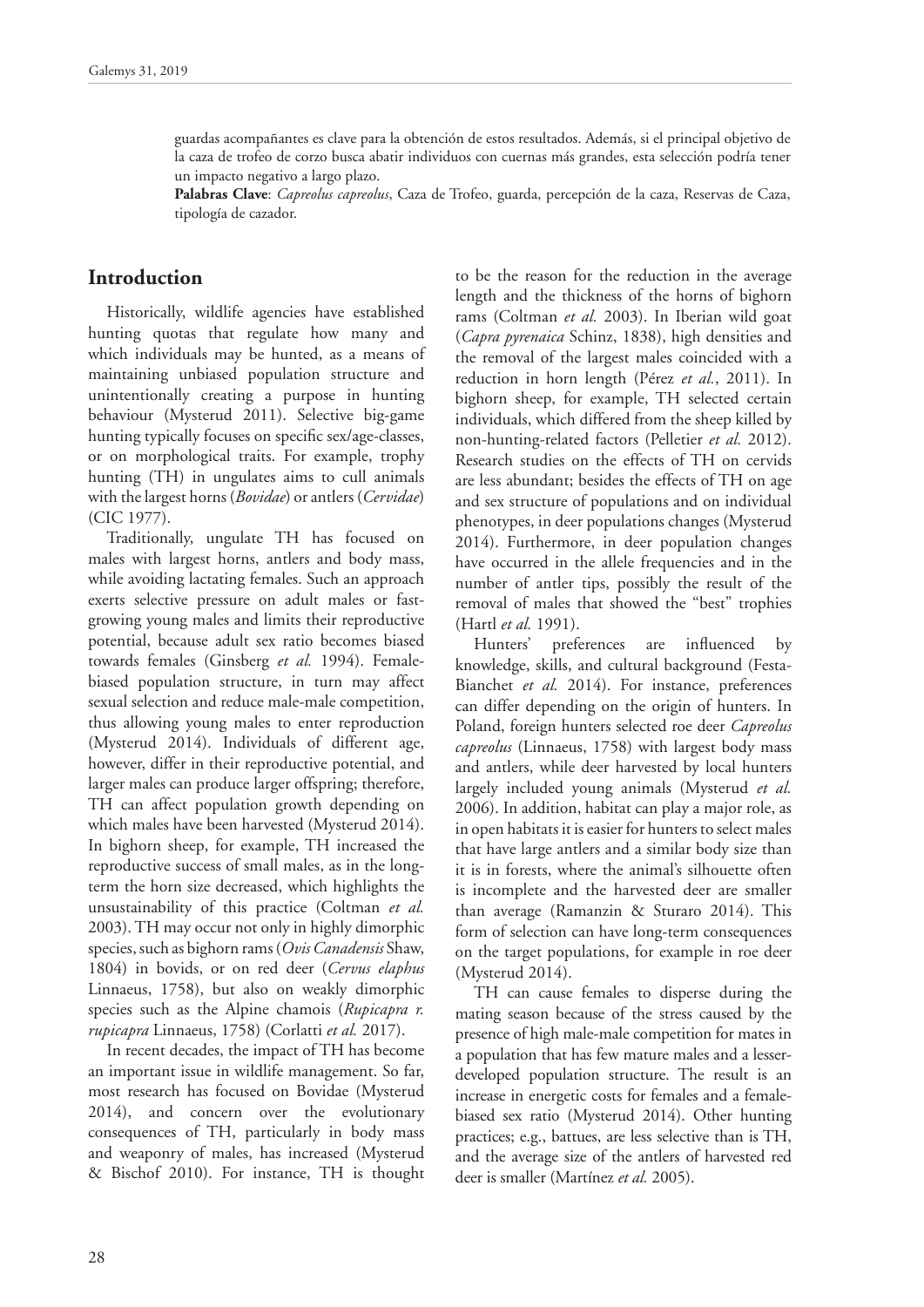guardas acompañantes es clave para la obtención de estos resultados. Además, si el principal objetivo de la caza de trofeo de corzo busca abatir individuos con cuernas más grandes, esta selección podría tener un impacto negativo a largo plazo.

**Palabras Clave**: *Capreolus capreolus*, Caza de Trofeo, guarda, percepción de la caza, Reservas de Caza, tipología de cazador.

### **Introduction**

Historically, wildlife agencies have established hunting quotas that regulate how many and which individuals may be hunted, as a means of maintaining unbiased population structure and unintentionally creating a purpose in hunting behaviour (Mysterud 2011). Selective big-game hunting typically focuses on specific sex/age-classes, or on morphological traits. For example, trophy hunting (TH) in ungulates aims to cull animals with the largest horns (*Bovidae*) or antlers (*Cervidae*) (CIC 1977).

Traditionally, ungulate TH has focused on males with largest horns, antlers and body mass, while avoiding lactating females. Such an approach exerts selective pressure on adult males or fastgrowing young males and limits their reproductive potential, because adult sex ratio becomes biased towards females (Ginsberg *et al.* 1994). Femalebiased population structure, in turn may affect sexual selection and reduce male-male competition, thus allowing young males to enter reproduction (Mysterud 2014). Individuals of different age, however, differ in their reproductive potential, and larger males can produce larger offspring; therefore, TH can affect population growth depending on which males have been harvested (Mysterud 2014). In bighorn sheep, for example, TH increased the reproductive success of small males, as in the longterm the horn size decreased, which highlights the unsustainability of this practice (Coltman *et al.* 2003). TH may occur not only in highly dimorphic species, such as bighorn rams (*Ovis Canadensis* Shaw, 1804) in bovids, or on red deer (*Cervus elaphus*  Linnaeus, 1758), but also on weakly dimorphic species such as the Alpine chamois (*Rupicapra r. rupicapra* Linnaeus, 1758) (Corlatti *et al.* 2017).

In recent decades, the impact of TH has become an important issue in wildlife management. So far, most research has focused on Bovidae (Mysterud 2014), and concern over the evolutionary consequences of TH, particularly in body mass and weaponry of males, has increased (Mysterud & Bischof 2010). For instance, TH is thought to be the reason for the reduction in the average length and the thickness of the horns of bighorn rams (Coltman *et al.* 2003). In Iberian wild goat (*Capra pyrenaica* Schinz, 1838), high densities and the removal of the largest males coincided with a reduction in horn length (Pérez *et al.*, 2011). In bighorn sheep, for example, TH selected certain individuals, which differed from the sheep killed by non-hunting-related factors (Pelletier *et al.* 2012). Research studies on the effects of TH on cervids are less abundant; besides the effects of TH on age and sex structure of populations and on individual phenotypes, in deer populations changes (Mysterud 2014). Furthermore, in deer population changes have occurred in the allele frequencies and in the number of antler tips, possibly the result of the removal of males that showed the "best" trophies (Hartl *et al.* 1991).

Hunters' preferences are influenced by knowledge, skills, and cultural background (Festa-Bianchet et al. 2014). For instance, preferences can differ depending on the origin of hunters. In Poland, foreign hunters selected roe deer *Capreolus capreolus* (Linnaeus, 1758) with largest body mass and antlers, while deer harvested by local hunters largely included young animals (Mysterud *et al.* 2006). In addition, habitat can play a major role, as in open habitats it is easier for hunters to select males that have large antlers and a similar body size than it is in forests, where the animal's silhouette often is incomplete and the harvested deer are smaller than average (Ramanzin & Sturaro 2014). This form of selection can have long-term consequences on the target populations, for example in roe deer (Mysterud 2014).

TH can cause females to disperse during the mating season because of the stress caused by the presence of high male-male competition for mates in a population that has few mature males and a lesserdeveloped population structure. The result is an increase in energetic costs for females and a femalebiased sex ratio (Mysterud 2014). Other hunting practices; e.g., battues, are less selective than is TH, and the average size of the antlers of harvested red deer is smaller (Martínez *et al.* 2005).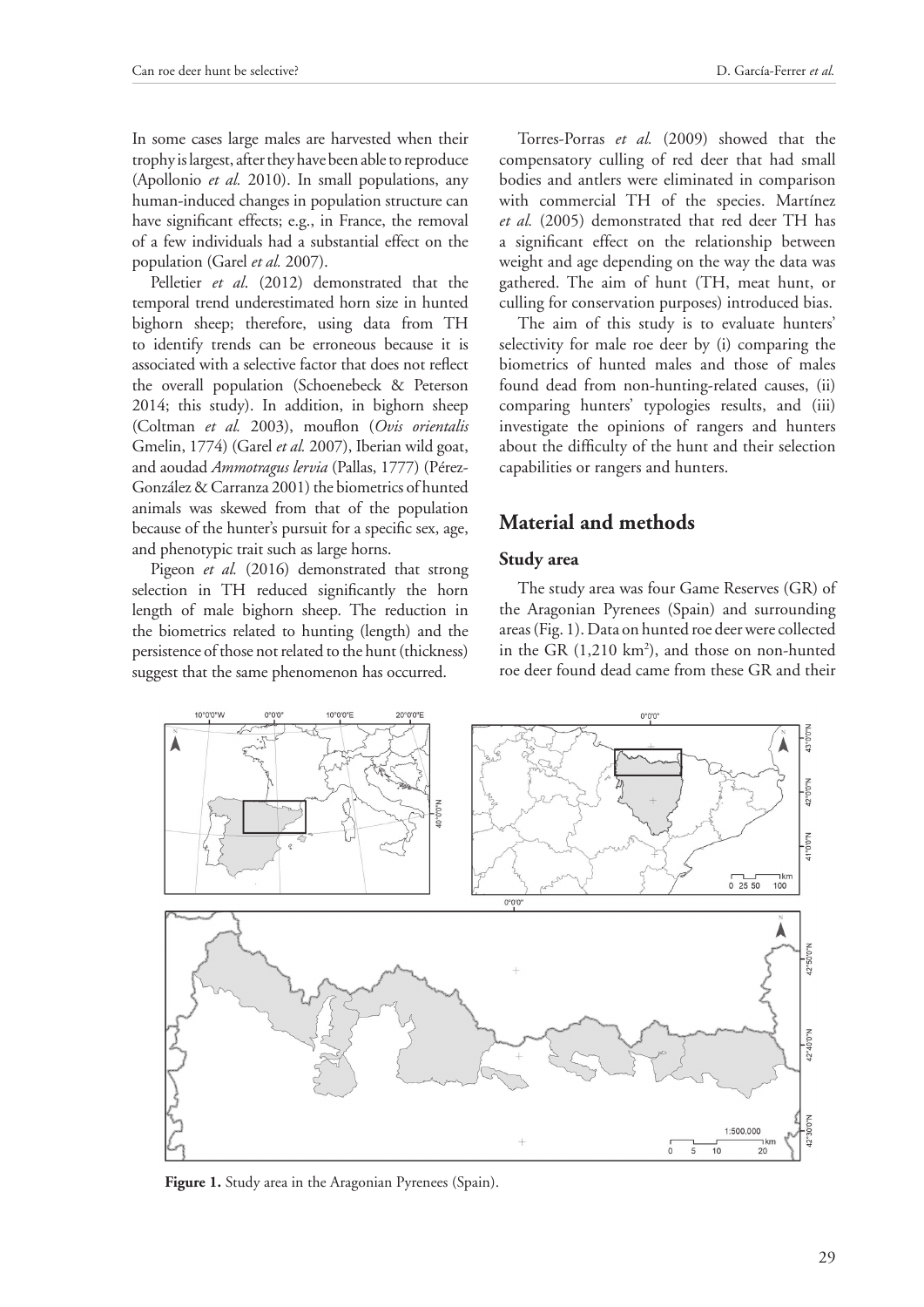In some cases large males are harvested when their trophy is largest, after they have been able to reproduce (Apollonio *et al.* 2010). In small populations, any human-induced changes in population structure can have significant effects; e.g., in France, the removal of a few individuals had a substantial effect on the population (Garel *et al.* 2007).

Pelletier *et al*. (2012) demonstrated that the temporal trend underestimated horn size in hunted bighorn sheep; therefore, using data from TH to identify trends can be erroneous because it is associated with a selective factor that does not reflect the overall population (Schoenebeck & Peterson 2014; this study). In addition, in bighorn sheep (Coltman *et al.* 2003), mouflon (*Ovis orientalis*  Gmelin, 1774) (Garel *et al.* 2007), Iberian wild goat, and aoudad *Ammotragus lervia* (Pallas, 1777) (Pérez-González & Carranza 2001) the biometrics of hunted animals was skewed from that of the population because of the hunter's pursuit for a specific sex, age, and phenotypic trait such as large horns.

Pigeon *et al.* (2016) demonstrated that strong selection in TH reduced significantly the horn length of male bighorn sheep. The reduction in the biometrics related to hunting (length) and the persistence of those not related to the hunt (thickness) suggest that the same phenomenon has occurred.

Torres-Porras *et al.* (2009) showed that the compensatory culling of red deer that had small bodies and antlers were eliminated in comparison with commercial TH of the species. Martínez *et al.* (2005) demonstrated that red deer TH has a significant effect on the relationship between weight and age depending on the way the data was gathered. The aim of hunt (TH, meat hunt, or culling for conservation purposes) introduced bias.

The aim of this study is to evaluate hunters' selectivity for male roe deer by (i) comparing the biometrics of hunted males and those of males found dead from non-hunting-related causes, (ii) comparing hunters' typologies results, and (iii) investigate the opinions of rangers and hunters about the difficulty of the hunt and their selection capabilities or rangers and hunters.

# **Material and methods**

#### **Study area**

The study area was four Game Reserves (GR) of the Aragonian Pyrenees (Spain) and surrounding areas (Fig. 1). Data on hunted roe deer were collected in the GR (1,210 km<sup>2</sup>), and those on non-hunted roe deer found dead came from these GR and their



Figure 1. Study area in the Aragonian Pyrenees (Spain).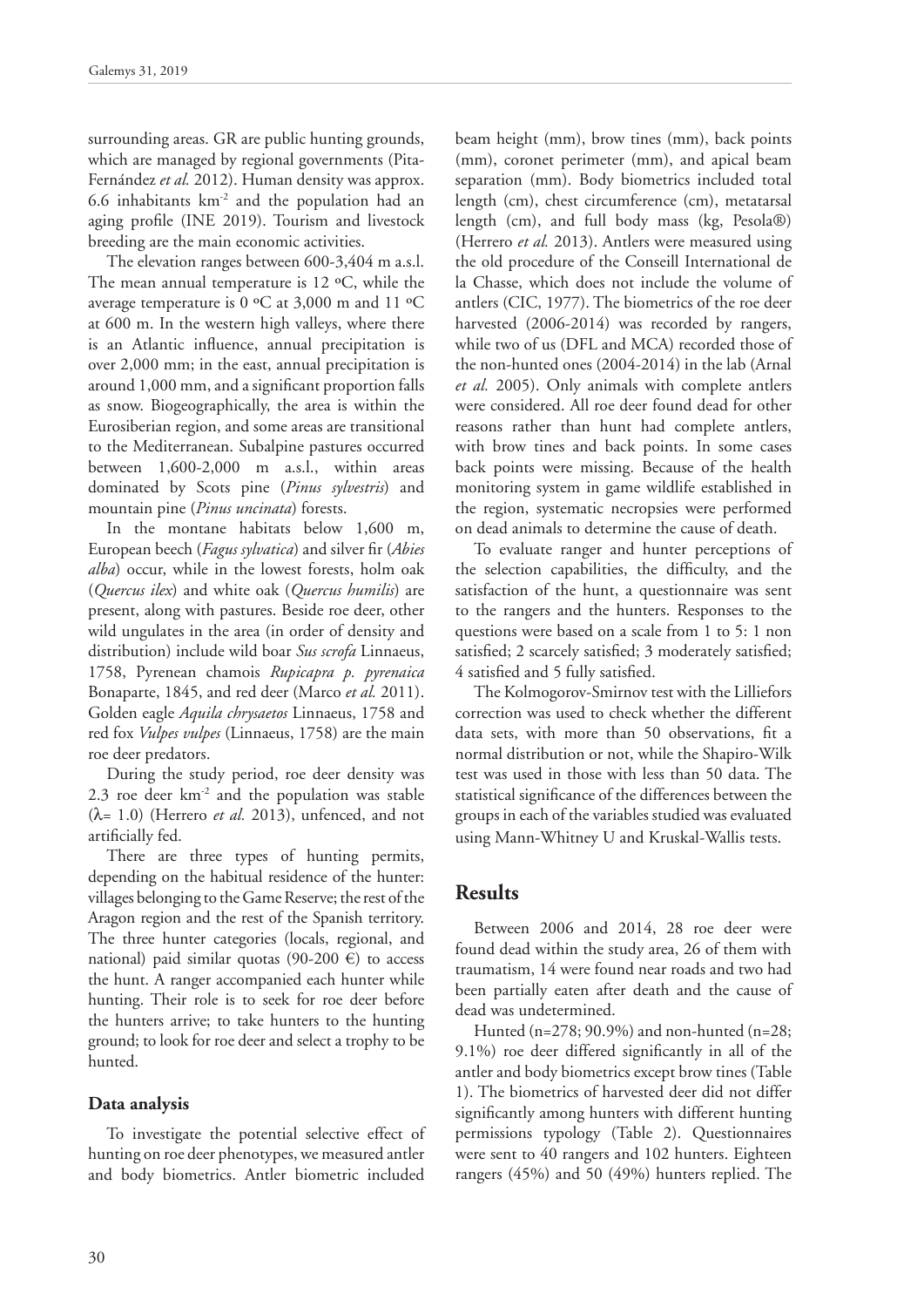surrounding areas. GR are public hunting grounds, which are managed by regional governments (Pita-Fernández *et al.* 2012). Human density was approx. 6.6 inhabitants km-2 and the population had an aging profile (INE 2019). Tourism and livestock breeding are the main economic activities.

The elevation ranges between 600-3,404 m a.s.l. The mean annual temperature is 12 ºC, while the average temperature is 0 ºC at 3,000 m and 11 ºC at 600 m. In the western high valleys, where there is an Atlantic influence, annual precipitation is over 2,000 mm; in the east, annual precipitation is around 1,000 mm, and a significant proportion falls as snow. Biogeographically, the area is within the Eurosiberian region, and some areas are transitional to the Mediterranean. Subalpine pastures occurred between 1,600-2,000 m a.s.l., within areas dominated by Scots pine (*Pinus sylvestris*) and mountain pine (*Pinus uncinata*) forests.

In the montane habitats below 1,600 m, European beech (*Fagus sylvatica*) and silver fir (*Abies alba*) occur, while in the lowest forests, holm oak (*Quercus ilex*) and white oak (*Quercus humilis*) are present, along with pastures. Beside roe deer, other wild ungulates in the area (in order of density and distribution) include wild boar *Sus scrofa* Linnaeus, 1758, Pyrenean chamois *Rupicapra p. pyrenaica*  Bonaparte, 1845, and red deer (Marco *et al.* 2011). Golden eagle *Aquila chrysaetos* Linnaeus, 1758 and red fox *Vulpes vulpes* (Linnaeus, 1758) are the main roe deer predators.

During the study period, roe deer density was 2.3 roe deer km-2 and the population was stable  $(\lambda = 1.0)$  (Herrero *et al.* 2013), unfenced, and not artificially fed.

There are three types of hunting permits, depending on the habitual residence of the hunter: villages belonging to the Game Reserve; the rest of the Aragon region and the rest of the Spanish territory. The three hunter categories (locals, regional, and national) paid similar quotas (90-200 €) to access the hunt. A ranger accompanied each hunter while hunting. Their role is to seek for roe deer before the hunters arrive; to take hunters to the hunting ground; to look for roe deer and select a trophy to be hunted.

### **Data analysis**

To investigate the potential selective effect of hunting on roe deer phenotypes, we measured antler and body biometrics. Antler biometric included

beam height (mm), brow tines (mm), back points (mm), coronet perimeter (mm), and apical beam separation (mm). Body biometrics included total length (cm), chest circumference (cm), metatarsal length (cm), and full body mass (kg, Pesola®) (Herrero *et al.* 2013). Antlers were measured using the old procedure of the Conseill International de la Chasse, which does not include the volume of antlers (CIC, 1977). The biometrics of the roe deer harvested (2006-2014) was recorded by rangers, while two of us (DFL and MCA) recorded those of the non-hunted ones (2004-2014) in the lab (Arnal *et al.* 2005). Only animals with complete antlers were considered. All roe deer found dead for other reasons rather than hunt had complete antlers, with brow tines and back points. In some cases back points were missing. Because of the health monitoring system in game wildlife established in the region, systematic necropsies were performed on dead animals to determine the cause of death.

To evaluate ranger and hunter perceptions of the selection capabilities, the difficulty, and the satisfaction of the hunt, a questionnaire was sent to the rangers and the hunters. Responses to the questions were based on a scale from 1 to 5: 1 non satisfied; 2 scarcely satisfied; 3 moderately satisfied; 4 satisfied and 5 fully satisfied.

The Kolmogorov-Smirnov test with the Lilliefors correction was used to check whether the different data sets, with more than 50 observations, fit a normal distribution or not, while the Shapiro-Wilk test was used in those with less than 50 data. The statistical significance of the differences between the groups in each of the variables studied was evaluated using Mann-Whitney U and Kruskal-Wallis tests.

## **Results**

Between 2006 and 2014, 28 roe deer were found dead within the study area, 26 of them with traumatism, 14 were found near roads and two had been partially eaten after death and the cause of dead was undetermined.

Hunted (n=278; 90.9%) and non-hunted (n=28; 9.1%) roe deer differed significantly in all of the antler and body biometrics except brow tines (Table 1). The biometrics of harvested deer did not differ significantly among hunters with different hunting permissions typology (Table 2). Questionnaires were sent to 40 rangers and 102 hunters. Eighteen rangers (45%) and 50 (49%) hunters replied. The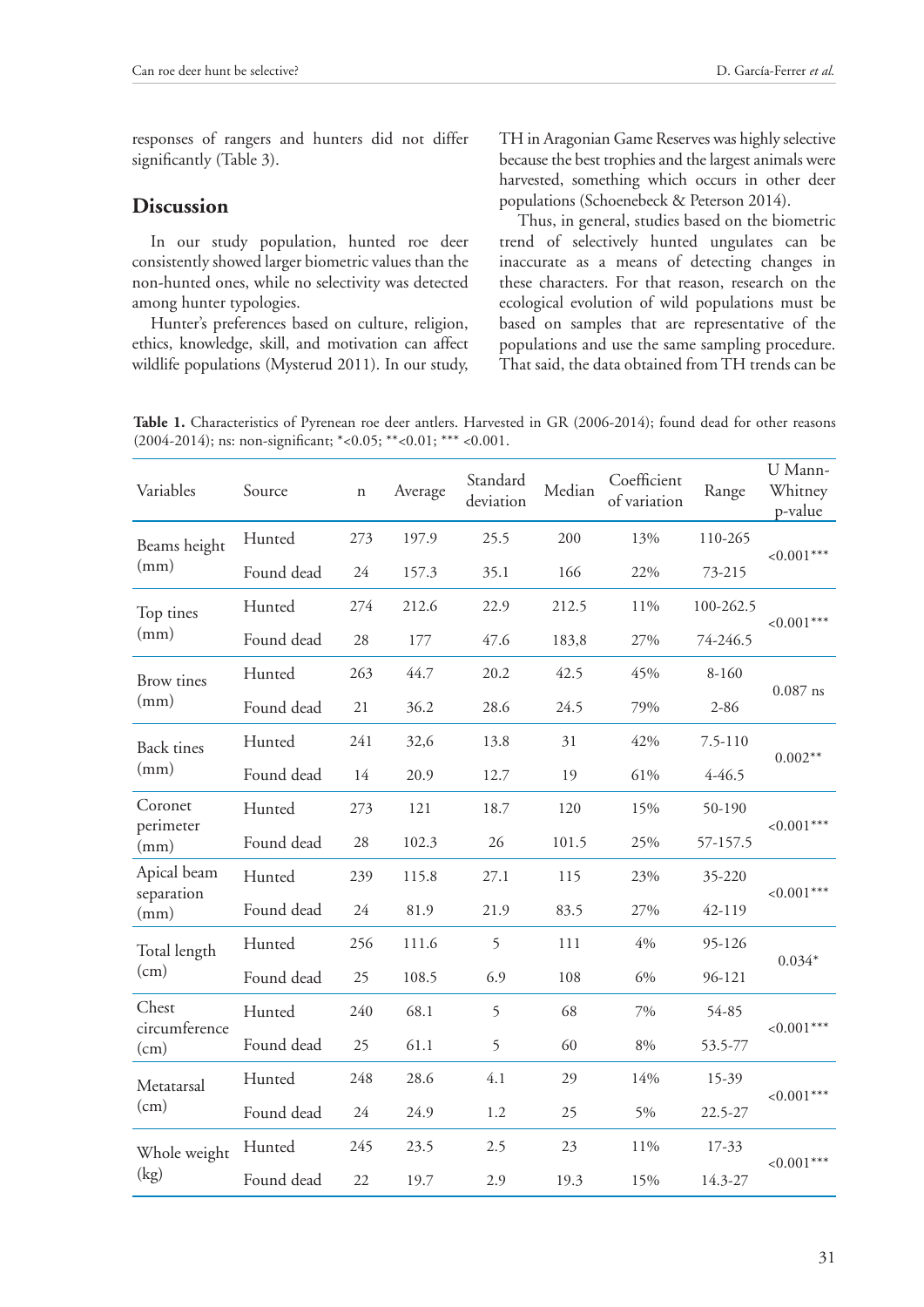responses of rangers and hunters did not differ significantly (Table 3).

### **Discussion**

In our study population, hunted roe deer consistently showed larger biometric values than the non-hunted ones, while no selectivity was detected among hunter typologies.

Hunter's preferences based on culture, religion, ethics, knowledge, skill, and motivation can affect wildlife populations (Mysterud 2011). In our study, TH in Aragonian Game Reserves was highly selective because the best trophies and the largest animals were harvested, something which occurs in other deer populations (Schoenebeck & Peterson 2014).

Thus, in general, studies based on the biometric trend of selectively hunted ungulates can be inaccurate as a means of detecting changes in these characters. For that reason, research on the ecological evolution of wild populations must be based on samples that are representative of the populations and use the same sampling procedure. That said, the data obtained from TH trends can be

Table 1. Characteristics of Pyrenean roe deer antlers. Harvested in GR (2006-2014); found dead for other reasons (2004-2014); ns: non-significant; \*<0.05; \*\*<0.01; \*\*\* <0.001.

| Variables                         | Source     | $\mathbf n$ | Average | Standard<br>deviation | Median | Coefficient<br>of variation | Range       | U Mann-<br>Whitney<br>p-value |  |
|-----------------------------------|------------|-------------|---------|-----------------------|--------|-----------------------------|-------------|-------------------------------|--|
| Beams height<br>(mm)              | Hunted     | 273         | 197.9   | 25.5                  | 200    | 13%                         | 110-265     | ${<}0.001***$                 |  |
|                                   | Found dead | 24          | 157.3   | 35.1                  | 166    | 22%                         | 73-215      |                               |  |
| Top tines<br>(mm)                 | Hunted     | 274         | 212.6   | 22.9                  | 212.5  | 11%                         | 100-262.5   | ${<}0.001***$                 |  |
|                                   | Found dead | 28          | 177     | 47.6                  | 183,8  | 27%                         | 74-246.5    |                               |  |
| <b>Brow</b> tines<br>(mm)         | Hunted     | 263         | 44.7    | 20.2                  | 42.5   | 45%                         | 8-160       | $0.087$ ns                    |  |
|                                   | Found dead | 21          | 36.2    | 28.6                  | 24.5   | 79%                         | $2 - 86$    |                               |  |
| <b>Back</b> tines<br>(mm)         | Hunted     | 241         | 32,6    | 13.8                  | 31     | 42%                         | $7.5 - 110$ | $0.002**$                     |  |
|                                   | Found dead | 14          | 20.9    | 12.7                  | 19     | 61%                         | $4 - 46.5$  |                               |  |
| Coronet<br>perimeter<br>(mm)      | Hunted     | 273         | 121     | 18.7                  | 120    | 15%                         | 50-190      | $< 0.001***$                  |  |
|                                   | Found dead | 28          | 102.3   | 26                    | 101.5  | 25%                         | 57-157.5    |                               |  |
| Apical beam<br>separation<br>(mm) | Hunted     | 239         | 115.8   | 27.1                  | 115    | 23%                         | 35-220      |                               |  |
|                                   | Found dead | 24          | 81.9    | 21.9                  | 83.5   | 27%                         | 42-119      | ${<}0.001***$                 |  |
| Total length<br>(cm)              | Hunted     | 256         | 111.6   | 5                     | 111    | $4\%$                       | 95-126      |                               |  |
|                                   | Found dead | 25          | 108.5   | 6.9                   | 108    | 6%                          | 96-121      | $0.034*$                      |  |
| Chest<br>circumference<br>(cm)    | Hunted     | 240         | 68.1    | 5                     | 68     | 7%                          | 54-85       | ${<}0.001***$                 |  |
|                                   | Found dead | 25          | 61.1    | 5                     | 60     | $8\%$                       | 53.5-77     |                               |  |
| Metatarsal<br>(cm)                | Hunted     | 248         | 28.6    | 4.1                   | 29     | 14%                         | 15-39       | ${<}0.001***$                 |  |
|                                   | Found dead | 24          | 24.9    | 1.2                   | 25     | 5%                          | 22.5-27     |                               |  |
| Whole weight<br>(kg)              | Hunted     | 245         | 23.5    | 2.5                   | 23     | 11%                         | 17-33       | ${<}0.001***$                 |  |
|                                   | Found dead | 22          | 19.7    | 2.9                   | 19.3   | 15%                         | 14.3-27     |                               |  |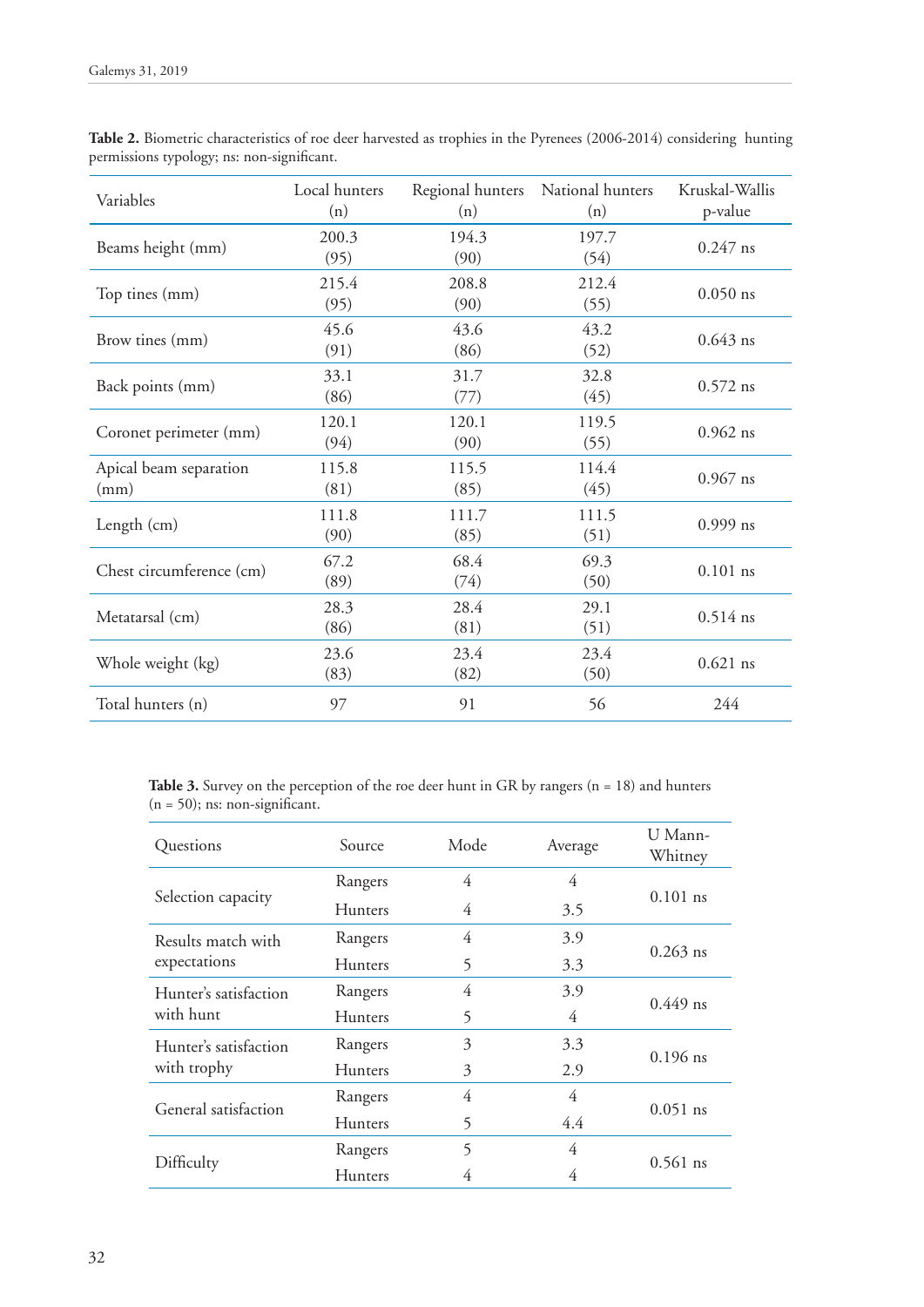| Variables                      | Local hunters<br>(n) | Regional hunters<br>(n) | National hunters<br>(n) | Kruskal-Wallis<br>p-value |
|--------------------------------|----------------------|-------------------------|-------------------------|---------------------------|
| Beams height (mm)              | 200.3<br>(95)        | 194.3<br>(90)           | 197.7<br>(54)           | $0.247$ ns                |
| Top tines (mm)                 | 215.4<br>(95)        | 208.8<br>(90)           | 212.4<br>(55)           | $0.050$ ns                |
| Brow tines (mm)                | 45.6<br>(91)         | 43.6<br>(86)            | 43.2<br>(52)            | $0.643$ ns                |
| Back points (mm)               | 33.1<br>(86)         | 31.7<br>(77)            | 32.8<br>(45)            | $0.572$ ns                |
| Coronet perimeter (mm)         | 120.1<br>(94)        | 120.1<br>(90)           | 119.5<br>(55)           | $0.962$ ns                |
| Apical beam separation<br>(mm) | 115.8<br>(81)        | 115.5<br>(85)           | 114.4<br>(45)           | $0.967$ ns                |
| Length (cm)                    | 111.8<br>(90)        | 111.7<br>(85)           | 111.5<br>(51)           | $0.999$ ns                |
| Chest circumference (cm)       | 67.2<br>(89)         | 68.4<br>(74)            | 69.3<br>(50)            | $0.101$ ns                |
| Metatarsal (cm)                | 28.3<br>(86)         | 28.4<br>(81)            | 29.1<br>(51)            | $0.514$ ns                |
| Whole weight (kg)              | 23.6<br>(83)         | 23.4<br>(82)            | 23.4<br>(50)            | $0.621$ ns                |
| Total hunters (n)              | 97                   | 91                      | 56                      | 244                       |

**Table 2.** Biometric characteristics of roe deer harvested as trophies in the Pyrenees (2006-2014) considering hunting permissions typology; ns: non-significant.

Table 3. Survey on the perception of the roe deer hunt in GR by rangers (n = 18) and hunters  $(n = 50)$ ; ns: non-significant.

| Questions             | Source         | Mode | Average | U Mann-<br>Whitney |  |
|-----------------------|----------------|------|---------|--------------------|--|
|                       | Rangers        | 4    | 4       |                    |  |
| Selection capacity    | <b>Hunters</b> | 4    | 3.5     | $0.101$ ns         |  |
| Results match with    | Rangers        | 4    | 3.9     | $0.263$ ns         |  |
| expectations          | <b>Hunters</b> | 5    | 3.3     |                    |  |
| Hunter's satisfaction | Rangers        | 4    | 3.9     | $0.449$ ns         |  |
| with hunt             | <b>Hunters</b> | 5    | 4       |                    |  |
| Hunter's satisfaction | Rangers        | 3    | 3.3     | $0.196$ ns         |  |
| with trophy           | <b>Hunters</b> | 3    | 2.9     |                    |  |
| General satisfaction  | Rangers        | 4    | 4       | $0.051$ ns         |  |
|                       | <b>Hunters</b> | 5    | 4.4     |                    |  |
| Difficulty            | Rangers        | 5    | 4       | $0.561$ ns         |  |
|                       | <b>Hunters</b> | 4    | 4       |                    |  |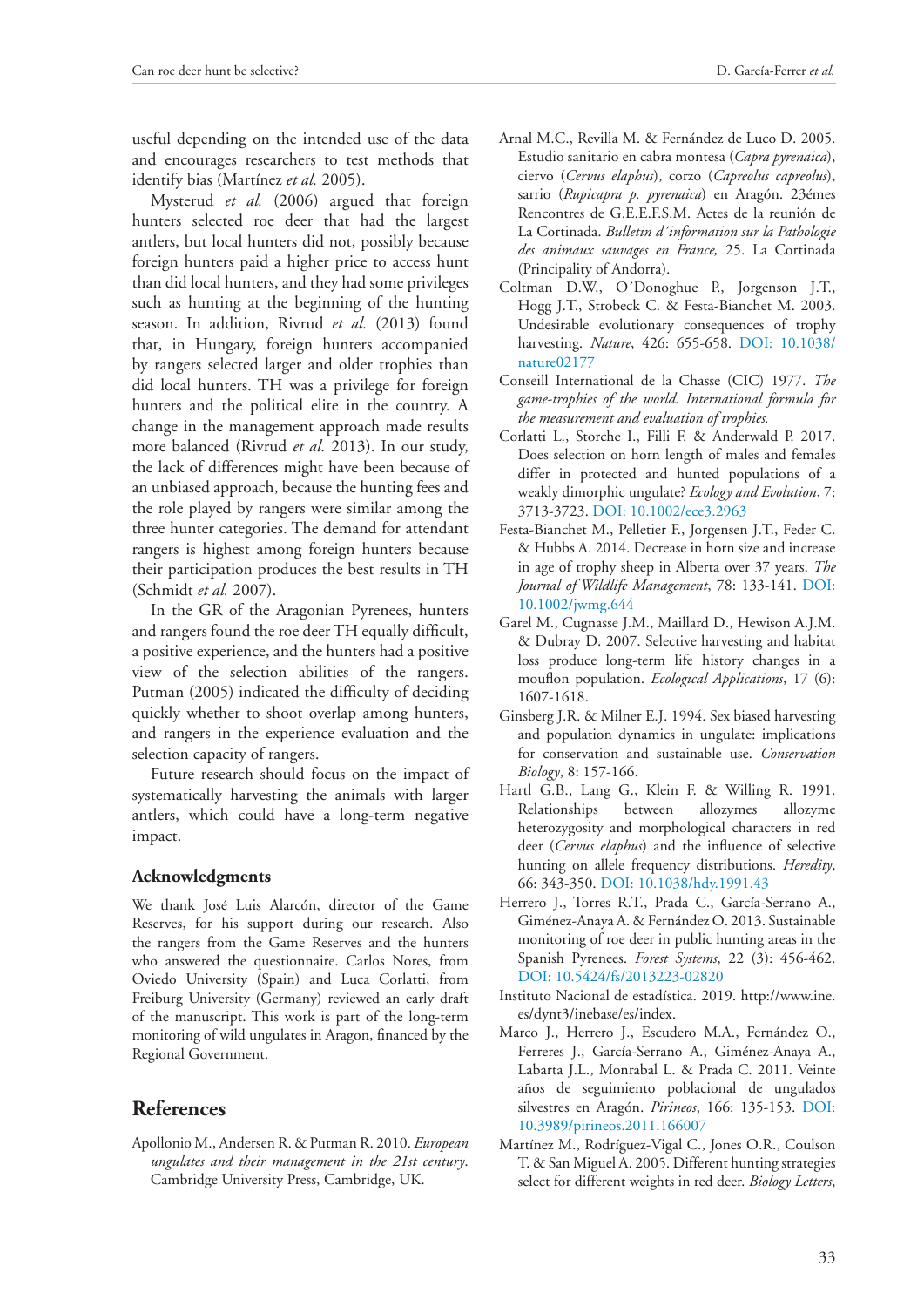useful depending on the intended use of the data and encourages researchers to test methods that identify bias (Martínez *et al.* 2005).

Mysterud *et al.* (2006) argued that foreign hunters selected roe deer that had the largest antlers, but local hunters did not, possibly because foreign hunters paid a higher price to access hunt than did local hunters, and they had some privileges such as hunting at the beginning of the hunting season. In addition, Rivrud *et al.* (2013) found that, in Hungary, foreign hunters accompanied by rangers selected larger and older trophies than did local hunters. TH was a privilege for foreign hunters and the political elite in the country. A change in the management approach made results more balanced (Rivrud *et al.* 2013). In our study, the lack of differences might have been because of an unbiased approach, because the hunting fees and the role played by rangers were similar among the three hunter categories. The demand for attendant rangers is highest among foreign hunters because their participation produces the best results in TH (Schmidt *et al.* 2007).

In the GR of the Aragonian Pyrenees, hunters and rangers found the roe deer TH equally difficult, a positive experience, and the hunters had a positive view of the selection abilities of the rangers. Putman (2005) indicated the difficulty of deciding quickly whether to shoot overlap among hunters, and rangers in the experience evaluation and the selection capacity of rangers.

Future research should focus on the impact of systematically harvesting the animals with larger antlers, which could have a long-term negative impact.

#### **Acknowledgments**

We thank José Luis Alarcón, director of the Game Reserves, for his support during our research. Also the rangers from the Game Reserves and the hunters who answered the questionnaire. Carlos Nores, from Oviedo University (Spain) and Luca Corlatti, from Freiburg University (Germany) reviewed an early draft of the manuscript. This work is part of the long-term monitoring of wild ungulates in Aragon, financed by the Regional Government.

## **References**

Apollonio M., Andersen R. & Putman R. 2010. *European ungulates and their management in the 21st century*. Cambridge University Press, Cambridge, UK.

- Arnal M.C., Revilla M. & Fernández de Luco D. 2005. Estudio sanitario en cabra montesa (*Capra pyrenaica*), ciervo (*Cervus elaphus*), corzo (*Capreolus capreolus*), sarrio (*Rupicapra p. pyrenaica*) en Aragón. 23émes Rencontres de G.E.E.F.S.M. Actes de la reunión de La Cortinada. *Bulletin d´information sur la Pathologie des animaux sauvages en France,* 25. La Cortinada (Principality of Andorra).
- Coltman D.W., O´Donoghue P., Jorgenson J.T., Hogg J.T., Strobeck C. & Festa-Bianchet M. 2003. Undesirable evolutionary consequences of trophy harvesting. *Nature*, 426: 655-658. [DOI: 10.1038/](https://www.nature.com/articles/nature02177) [nature02177](https://www.nature.com/articles/nature02177)
- Conseill International de la Chasse (CIC) 1977. *The game-trophies of the world. International formula for the measurement and evaluation of trophies.*
- Corlatti L., Storche I., Filli F. & Anderwald P. 2017. Does selection on horn length of males and females differ in protected and hunted populations of a weakly dimorphic ungulate? *Ecology and Evolution*, 7: 3713-3723. [DOI: 10.1002/ece3.2963](https://onlinelibrary.wiley.com/doi/full/10.1002/ece3.2963)
- Festa-Bianchet M., Pelletier F., Jorgensen J.T., Feder C. & Hubbs A. 2014. Decrease in horn size and increase in age of trophy sheep in Alberta over 37 years. *The Journal of Wildlife Management*, 78: 133-141. [DOI:](https://wildlife.onlinelibrary.wiley.com/doi/full/10.1002/jwmg.644)  [10.1002/jwmg.644](https://wildlife.onlinelibrary.wiley.com/doi/full/10.1002/jwmg.644)
- Garel M., Cugnasse J.M., Maillard D., Hewison A.J.M. & Dubray D. 2007. Selective harvesting and habitat loss produce long-term life history changes in a mouflon population. *Ecological Applications*, 17 (6): 1607-1618.
- Ginsberg J.R. & Milner E.J. 1994. Sex biased harvesting and population dynamics in ungulate: implications for conservation and sustainable use. *Conservation Biology*, 8: 157-166.
- Hartl G.B., Lang G., Klein F. & Willing R. 1991. Relationships between allozymes allozyme heterozygosity and morphological characters in red deer (*Cervus elaphus*) and the influence of selective hunting on allele frequency distributions. *Heredity*, 66: 343-350. [DOI: 10.1038/hdy.1991.43](https://www.nature.com/articles/hdy199143)
- Herrero J., Torres R.T., Prada C., García-Serrano A., Giménez-Anaya A. & Fernández O. 2013. Sustainable monitoring of roe deer in public hunting areas in the Spanish Pyrenees. *Forest Systems*, 22 (3): 456-462. [DOI: 10.5424/fs/2013223-02820](http://revistas.inia.es/index.php/fs/article/view/2820)
- Instituto Nacional de estadística. 2019. [http://www.ine.](http://www.ine.es/dynt3/inebase/es/index) [es/dynt3/inebase/es/index](http://www.ine.es/dynt3/inebase/es/index).
- Marco J., Herrero J., Escudero M.A., Fernández O., Ferreres J., García-Serrano A., Giménez-Anaya A., Labarta J.L., Monrabal L. & Prada C. 2011. Veinte años de seguimiento poblacional de ungulados silvestres en Aragón. *Pirineos*, 166: 135-153. [DOI:](http://pirineos.revistas.csic.es/index.php/pirineos/article/view/222/221)  [10.3989/pirineos.2011.166007](http://pirineos.revistas.csic.es/index.php/pirineos/article/view/222/221)
- Martínez M., Rodríguez-Vigal C., Jones O.R., Coulson T. & San Miguel A. 2005. Different hunting strategies select for different weights in red deer. *Biology Letters*,